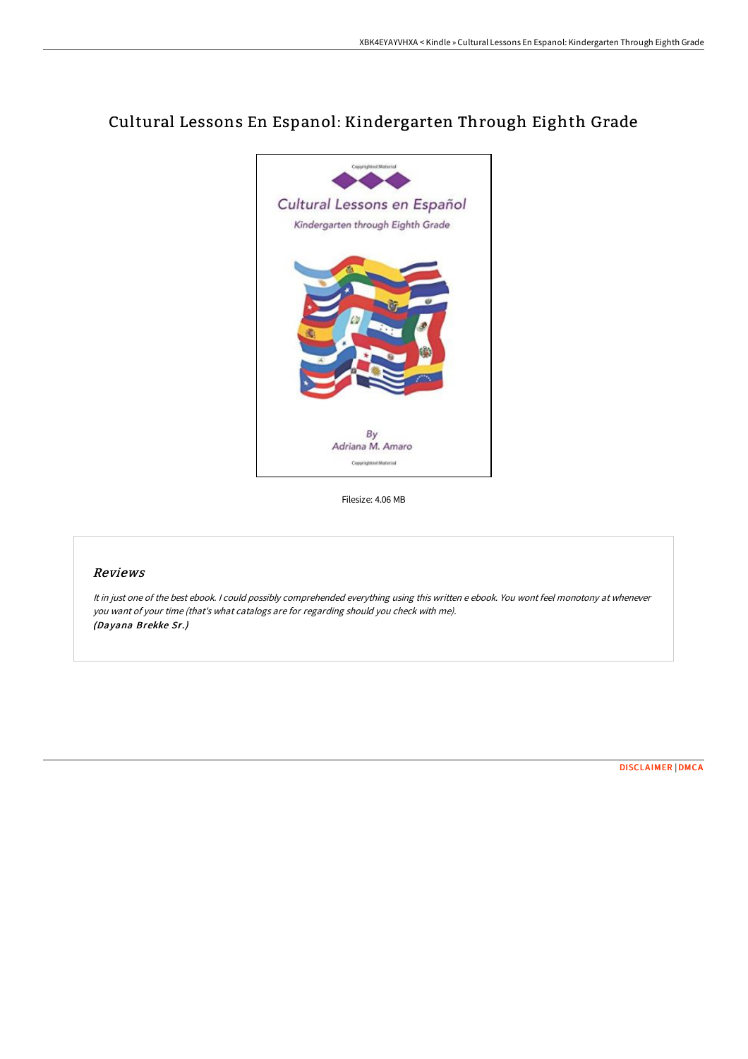# Cultural Lessons En Espanol: Kindergarten Through Eighth Grade



Filesize: 4.06 MB

## Reviews

It in just one of the best ebook. <sup>I</sup> could possibly comprehended everything using this written <sup>e</sup> ebook. You wont feel monotony at whenever you want of your time (that's what catalogs are for regarding should you check with me). (Dayana Brekke Sr.)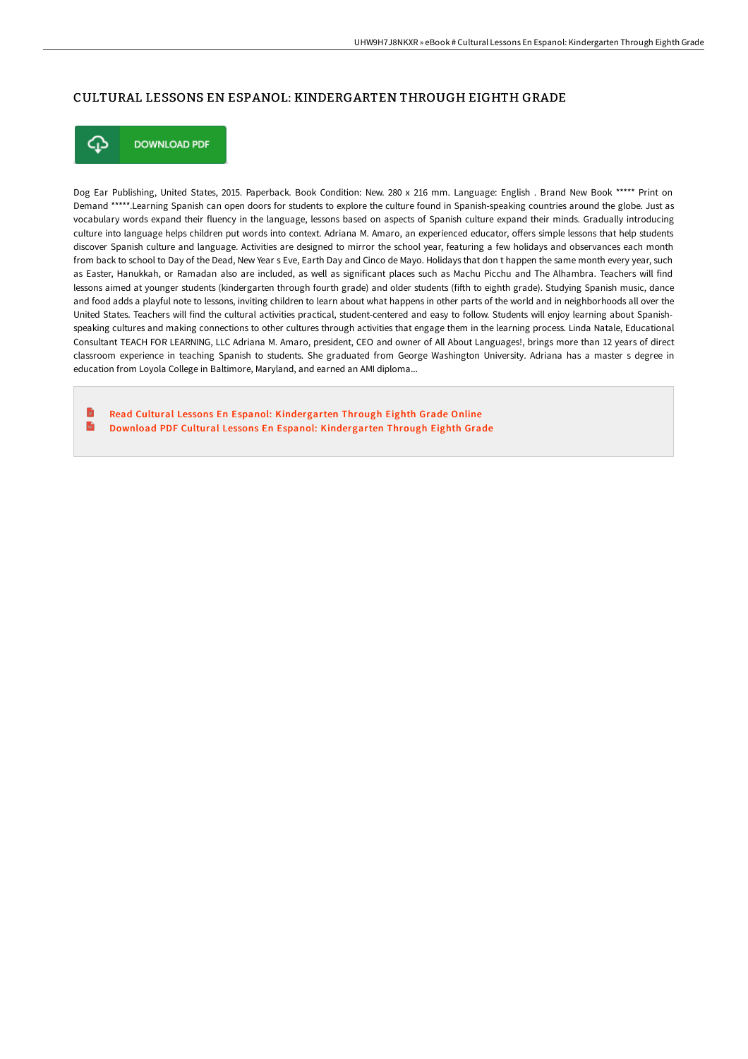### CULTURAL LESSONS EN ESPANOL: KINDERGARTEN THROUGH EIGHTH GRADE



**DOWNLOAD PDF** 

Dog Ear Publishing, United States, 2015. Paperback. Book Condition: New. 280 x 216 mm. Language: English . Brand New Book \*\*\*\*\* Print on Demand \*\*\*\*\*.Learning Spanish can open doors for students to explore the culture found in Spanish-speaking countries around the globe. Just as vocabulary words expand their fluency in the language, lessons based on aspects of Spanish culture expand their minds. Gradually introducing culture into language helps children put words into context. Adriana M. Amaro, an experienced educator, offers simple lessons that help students discover Spanish culture and language. Activities are designed to mirror the school year, featuring a few holidays and observances each month from back to school to Day of the Dead, New Year s Eve, Earth Day and Cinco de Mayo. Holidays that don t happen the same month every year, such as Easter, Hanukkah, or Ramadan also are included, as well as significant places such as Machu Picchu and The Alhambra. Teachers will find lessons aimed at younger students (kindergarten through fourth grade) and older students (fifth to eighth grade). Studying Spanish music, dance and food adds a playful note to lessons, inviting children to learn about what happens in other parts of the world and in neighborhoods all over the United States. Teachers will find the cultural activities practical, student-centered and easy to follow. Students will enjoy learning about Spanishspeaking cultures and making connections to other cultures through activities that engage them in the learning process. Linda Natale, Educational Consultant TEACH FOR LEARNING, LLC Adriana M. Amaro, president, CEO and owner of All About Languages!, brings more than 12 years of direct classroom experience in teaching Spanish to students. She graduated from George Washington University. Adriana has a master s degree in education from Loyola College in Baltimore, Maryland, and earned an AMI diploma...

Read Cultural Lessons En Espanol: [Kindergarten](http://www.bookdirs.com/cultural-lessons-en-espanol-kindergarten-through.html) Through Eighth Grade Online  $\mathbf{m}$ Download PDF Cultural Lessons En Espanol: [Kindergarten](http://www.bookdirs.com/cultural-lessons-en-espanol-kindergarten-through.html) Through Eighth Grade